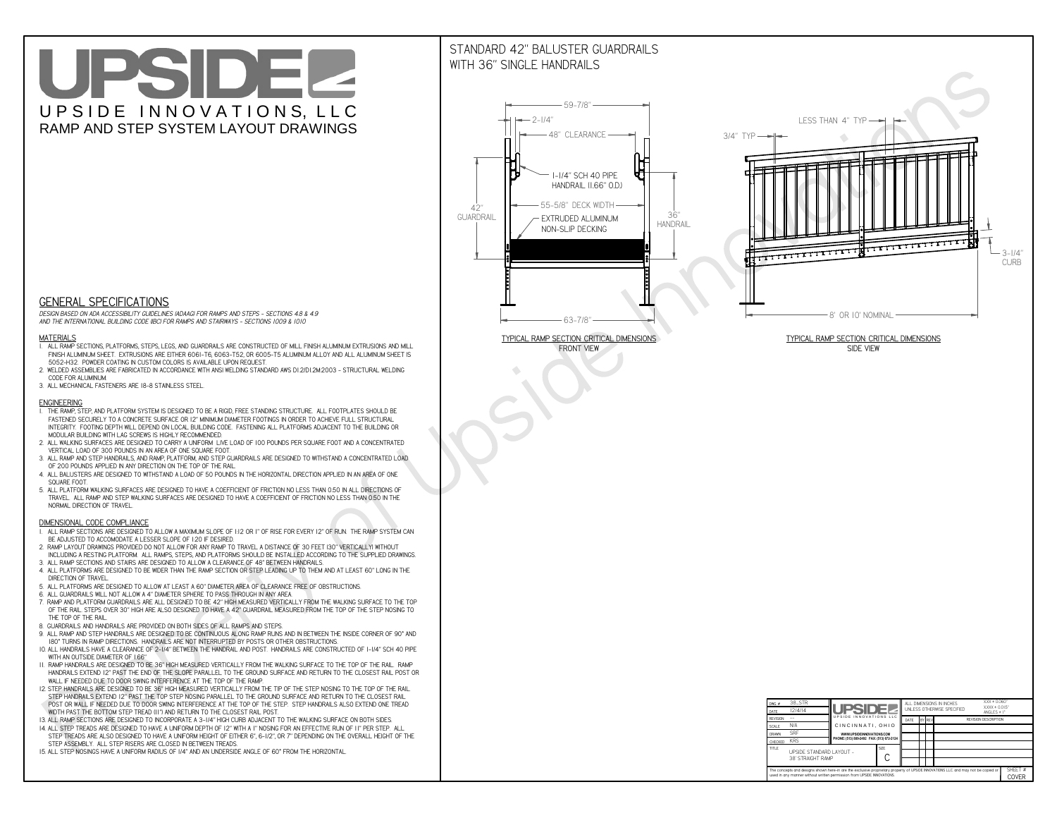# UPSIDEL UPSIDE INNOVATIONS, LLC RAMP AND STEP SYSTEM LAYOUT DRAWINGS

## STANDARD 42" BALUSTER GUARDRAILSWITH 36" SINGLE HANDRAILS

**FRONT VIEW**





**GENERAL SPECIFICATIONS**

 *DESIGN BASED ON ADA ACCESSIBILITY GUIDELINES (ADAAG) FOR RAMPS AND STEPS - SECTIONS 4.8 & 4.9AND THE INTERNATIONAL BUILDING CODE (IBC) FOR RAMPS AND STAIRWAYS - SECTIONS 1009 & 1010*

#### **MATERIALS**

- **1. ALL RAMP SECTIONS, PLATFORMS, STEPS, LEGS, AND GUARDRAILS ARE CONSTRUCTED OF MILL FINISH ALUMINUM EXTRUSIONS AND MILL FINISH ALUMINUM SHEET. EXTRUSIONS ARE EITHER 6061-T6, 6063-T52, OR 6005-T5 ALUMINUM ALLOY AND ALL ALUMINUM SHEET IS 5052-H32. POWDER COATING IN CUSTOM COLORS IS AVAILABLE UPON REQUEST.**
- **2. WELDED ASSEMBLIES ARE FABRICATED IN ACCORDANCE WITH ANSI WELDING STANDARD AWS D1.2/D1.2M:2003 STRUCTURAL WELDING CODE FOR ALUMINUM.**
- **3. ALL MECHANICAL FASTENERS ARE 18-8 STAINLESS STEEL.**

#### **ENGINEERING**

- **1. THE RAMP, STEP, AND PLATFORM SYSTEM IS DESIGNED TO BE A RIGID, FREE STANDING STRUCTURE. ALL FOOTPLATES SHOULD BE FASTENED SECURELY TO A CONCRETE SURFACE OR 12" MINIMUM DIAMETER FOOTINGS IN ORDER TO ACHIEVE FULL STRUCTURAL INTEGRITY. FOOTING DEPTH WILL DEPEND ON LOCAL BUILDING CODE. FASTENING ALL PLATFORMS ADJACENT TO THE BUILDING OR MODULAR BUILDING WITH LAG SCREWS IS HIGHLY RECOMMENDED.**
- **2. ALL WALKING SURFACES ARE DESIGNED TO CARRY A UNIFORM LIVE LOAD OF 100 POUNDS PER SQUARE FOOT AND A CONCENTRATED VERTICAL LOAD OF 300 POUNDS IN AN AREA OF ONE SQUARE FOOT.**
- **3. ALL RAMP AND STEP HANDRAILS, AND RAMP, PLATFORM, AND STEP GUARDRAILS ARE DESIGNED TO WITHSTAND A CONCENTRATED LOAD OF 200 POUNDS APPLIED IN ANY DIRECTION ON THE TOP OF THE RAIL.**
- **4. ALL BALUSTERS ARE DESIGNED TO WITHSTAND A LOAD OF 50 POUNDS IN THE HORIZONTAL DIRECTION APPLIED IN AN AREA OF ONE SQUARE FOOT.**
- **5. ALL PLATFORM WALKING SURFACES ARE DESIGNED TO HAVE A COEFFICIENT OF FRICTION NO LESS THAN 0.50 IN ALL DIRECTIONS OF TRAVEL. ALL RAMP AND STEP WALKING SURFACES ARE DESIGNED TO HAVE A COEFFICIENT OF FRICTION NO LESS THAN 0.50 IN THE NORMAL DIRECTION OF TRAVEL.**

| $DWG.$ #<br>DATE                                                                                                                                                                                            | 38_STR<br>12/4/14                             | UPSIDEL                                   |             | ALL DIMENSIONS IN INCHES<br>UNI FSS OTHERWISE SPECIFIED |               |  |                             |  | $XXX = 0.060"$<br>$XXX \pm 0.015$ "<br>ANGLES $\pm$ 1° |  |
|-------------------------------------------------------------------------------------------------------------------------------------------------------------------------------------------------------------|-----------------------------------------------|-------------------------------------------|-------------|---------------------------------------------------------|---------------|--|-----------------------------|--|--------------------------------------------------------|--|
| <b>REVISION</b>                                                                                                                                                                                             |                                               | UPSIDE INNOVATIONS LLC                    | DATE        |                                                         | <b>BY REV</b> |  | <b>REVISION DESCRIPTION</b> |  |                                                        |  |
| <b>SCALE</b>                                                                                                                                                                                                | N/A                                           | CINCINNATI, OHIO                          |             |                                                         |               |  |                             |  |                                                        |  |
| <b>DRAWN</b>                                                                                                                                                                                                | <b>SRF</b>                                    | WWW.UPSIDEINNOVATIONS.COM                 |             |                                                         |               |  |                             |  |                                                        |  |
| CHECKED                                                                                                                                                                                                     | <b>KRS</b>                                    | PHONE: (513) 889-2492 FAX: (513) 672-2124 |             |                                                         |               |  |                             |  |                                                        |  |
| <b>TITLE</b>                                                                                                                                                                                                | UPSIDE STANDARD LAYOUT -<br>38' STRAIGHT RAMP |                                           | <b>SIZE</b> |                                                         |               |  |                             |  |                                                        |  |
| The concepts and designs shown here-in are the exclusive proprietary property of UPSIDE INNOVATIONS LLC. and may not be copied or<br>used in any manner without written permission from UPSIDE INNOVATIONS. |                                               |                                           |             |                                                         |               |  | SHEET #<br>COVER            |  |                                                        |  |

### **DIMENSIONAL CODE COMPLIANCE**

- **1. ALL RAMP SECTIONS ARE DESIGNED TO ALLOW A MAXIMUM SLOPE OF 1:12 OR 1" OF RISE FOR EVERY 12" OF RUN. THE RAMP SYSTEM CAN BE ADJUSTED TO ACCOMODATE A LESSER SLOPE OF 1:20 IF DESIRED.**
- **2. RAMP LAYOUT DRAWINGS PROVIDED DO NOT ALLOW FOR ANY RAMP TO TRAVEL A DISTANCE OF 30 FEET (30" VERTICALLY) WITHOUT INCLUDING A RESTING PLATFORM. ALL RAMPS, STEPS, AND PLATFORMS SHOULD BE INSTALLED ACCORDING TO THE SUPPLIED DRAWINGS.**
- **3. ALL RAMP SECTIONS AND STAIRS ARE DESIGNED TO ALLOW A CLEARANCE OF 48" BETWEEN HANDRAILS.**
- **4. ALL PLATFORMS ARE DESIGNED TO BE WIDER THAN THE RAMP SECTION OR STEP LEADING UP TO THEM AND AT LEAST 60" LONG IN THE DIRECTION OF TRAVEL.**
- **5. ALL PLATFORMS ARE DESIGNED TO ALLOW AT LEAST A 60" DIAMETER AREA OF CLEARANCE FREE OF OBSTRUCTIONS.**
- **6. ALL GUARDRAILS WILL NOT ALLOW A 4" DIAMETER SPHERE TO PASS THROUGH IN ANY AREA.**
- **7. RAMP AND PLATFORM GUARDRAILS ARE ALL DESIGNED TO BE 42" HIGH MEASURED VERTICALLY FROM THE WALKING SURFACE TO THE TOP OF THE RAIL. STEPS OVER 30" HIGH ARE ALSO DESIGNED TO HAVE A 42" GUARDRAIL MEASURED FROM THE TOP OF THE STEP NOSING TO THE TOP OF THE RAIL.**
- **8. GUARDRAILS AND HANDRAILS ARE PROVIDED ON BOTH SIDES OF ALL RAMPS AND STEPS.**
- **9. ALL RAMP AND STEP HANDRAILS ARE DESIGNED TO BE CONTINUOUS ALONG RAMP RUNS AND IN BETWEEN THE INSIDE CORNER OF 90° AND 180° TURNS IN RAMP DIRECTIONS. HANDRAILS ARE NOT INTERRUPTED BY POSTS OR OTHER OBSTRUCTIONS.**
- **10. ALL HANDRAILS HAVE A CLEARANCE OF 2-1/4" BETWEEN THE HANDRAIL AND POST. HANDRAILS ARE CONSTRUCTED OF 1-1/4" SCH 40 PIPE WITH AN OUTSIDE DIAMETER OF 1.66"**
- **11. RAMP HANDRAILS ARE DESIGNED TO BE 36" HIGH MEASURED VERTICALLY FROM THE WALKING SURFACE TO THE TOP OF THE RAIL. RAMP HANDRAILS EXTEND 12" PAST THE END OF THE SLOPE PARALLEL TO THE GROUND SURFACE AND RETURN TO THE CLOSEST RAIL POST OR WALL IF NEEDED DUE TO DOOR SWING INTERFERENCE AT THE TOP OF THE RAMP.**
- **12. STEP HANDRAILS ARE DESIGNED TO BE 36" HIGH MEASURED VERTICALLY FROM THE TIP OF THE STEP NOSING TO THE TOP OF THE RAIL. STEP HANDRAILS EXTEND 12" PAST THE TOP STEP NOSING PARALLEL TO THE GROUND SURFACE AND RETURN TO THE CLOSEST RAIL POST OR WALL IF NEEDED DUE TO DOOR SWING INTERFERENCE AT THE TOP OF THE STEP. STEP HANDRAILS ALSO EXTEND ONE TREAD**
- **WIDTH PAST THE BOTTOM STEP TREAD (11") AND RETURN TO THE CLOSEST RAIL POST.**
- **13. ALL RAMP SECTIONS ARE DESIGNED TO INCORPORATE A 3-1/4" HIGH CURB ADJACENT TO THE WALKING SURFACE ON BOTH SIDES.**
- **14. ALL STEP TREADS ARE DESIGNED TO HAVE A UNIFORM DEPTH OF 12" WITH A 1" NOSING FOR AN EFFECTIVE RUN OF 11" PER STEP. ALL STEP TREADS ARE ALSO DESIGNED TO HAVE A UNIFORM HEIGHT OF EITHER 6", 6-1/2", OR 7" DEPENDING ON THE OVERALL HEIGHT OF THE STEP ASSEMBLY. ALL STEP RISERS ARE CLOSED IN BETWEEN TREADS.**
- **15. ALL STEP NOSINGS HAVE A UNIFORM RADIUS OF 1/4" AND AN UNDERSIDE ANGLE OF 60° FROM THE HORIZONTAL.**